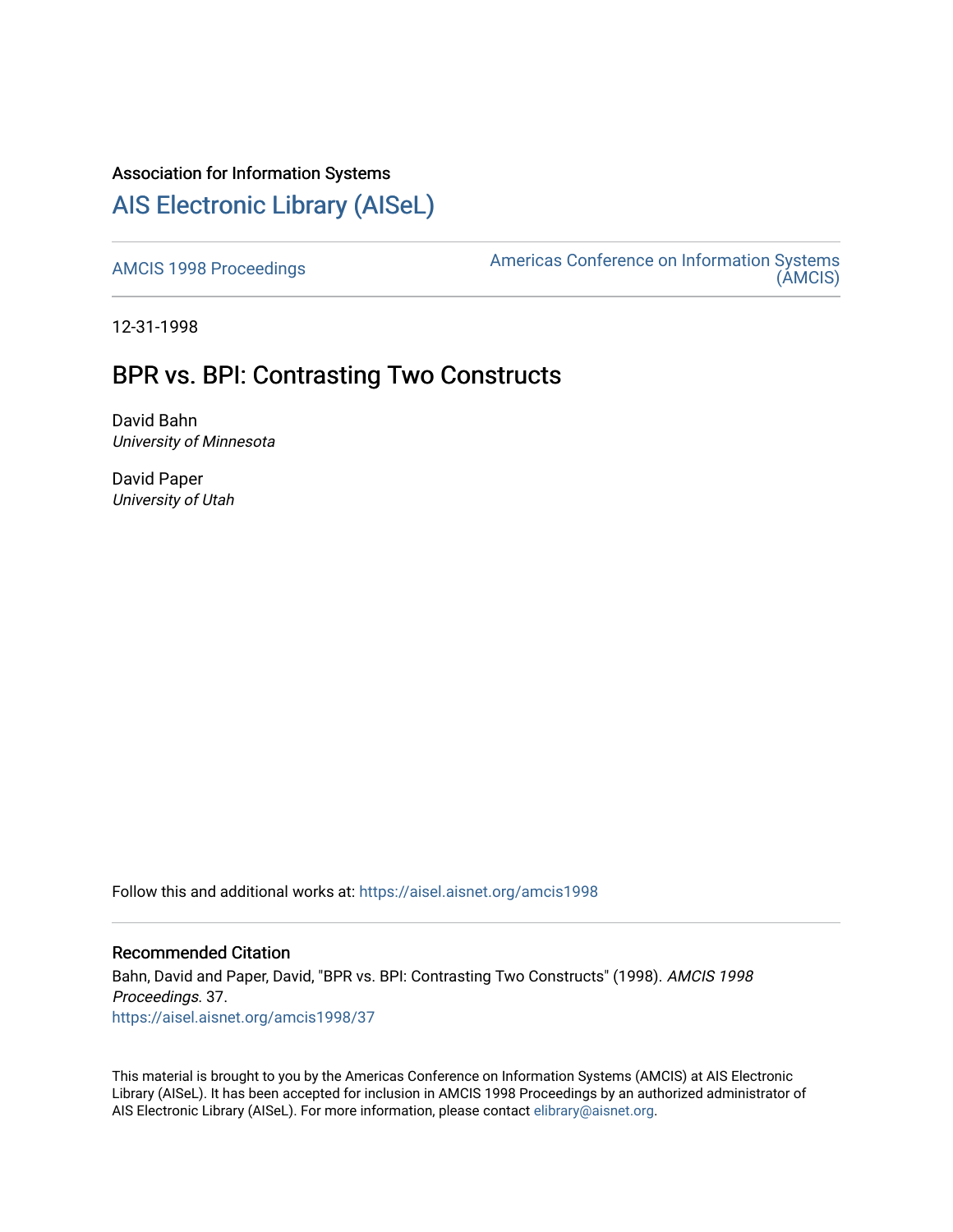# Association for Information Systems

# [AIS Electronic Library \(AISeL\)](https://aisel.aisnet.org/)

[AMCIS 1998 Proceedings](https://aisel.aisnet.org/amcis1998) **Americas Conference on Information Systems** [\(AMCIS\)](https://aisel.aisnet.org/amcis) 

12-31-1998

# BPR vs. BPI: Contrasting Two Constructs

David Bahn University of Minnesota

David Paper University of Utah

Follow this and additional works at: [https://aisel.aisnet.org/amcis1998](https://aisel.aisnet.org/amcis1998?utm_source=aisel.aisnet.org%2Famcis1998%2F37&utm_medium=PDF&utm_campaign=PDFCoverPages) 

# Recommended Citation

Bahn, David and Paper, David, "BPR vs. BPI: Contrasting Two Constructs" (1998). AMCIS 1998 Proceedings. 37. [https://aisel.aisnet.org/amcis1998/37](https://aisel.aisnet.org/amcis1998/37?utm_source=aisel.aisnet.org%2Famcis1998%2F37&utm_medium=PDF&utm_campaign=PDFCoverPages) 

This material is brought to you by the Americas Conference on Information Systems (AMCIS) at AIS Electronic Library (AISeL). It has been accepted for inclusion in AMCIS 1998 Proceedings by an authorized administrator of AIS Electronic Library (AISeL). For more information, please contact [elibrary@aisnet.org](mailto:elibrary@aisnet.org%3E).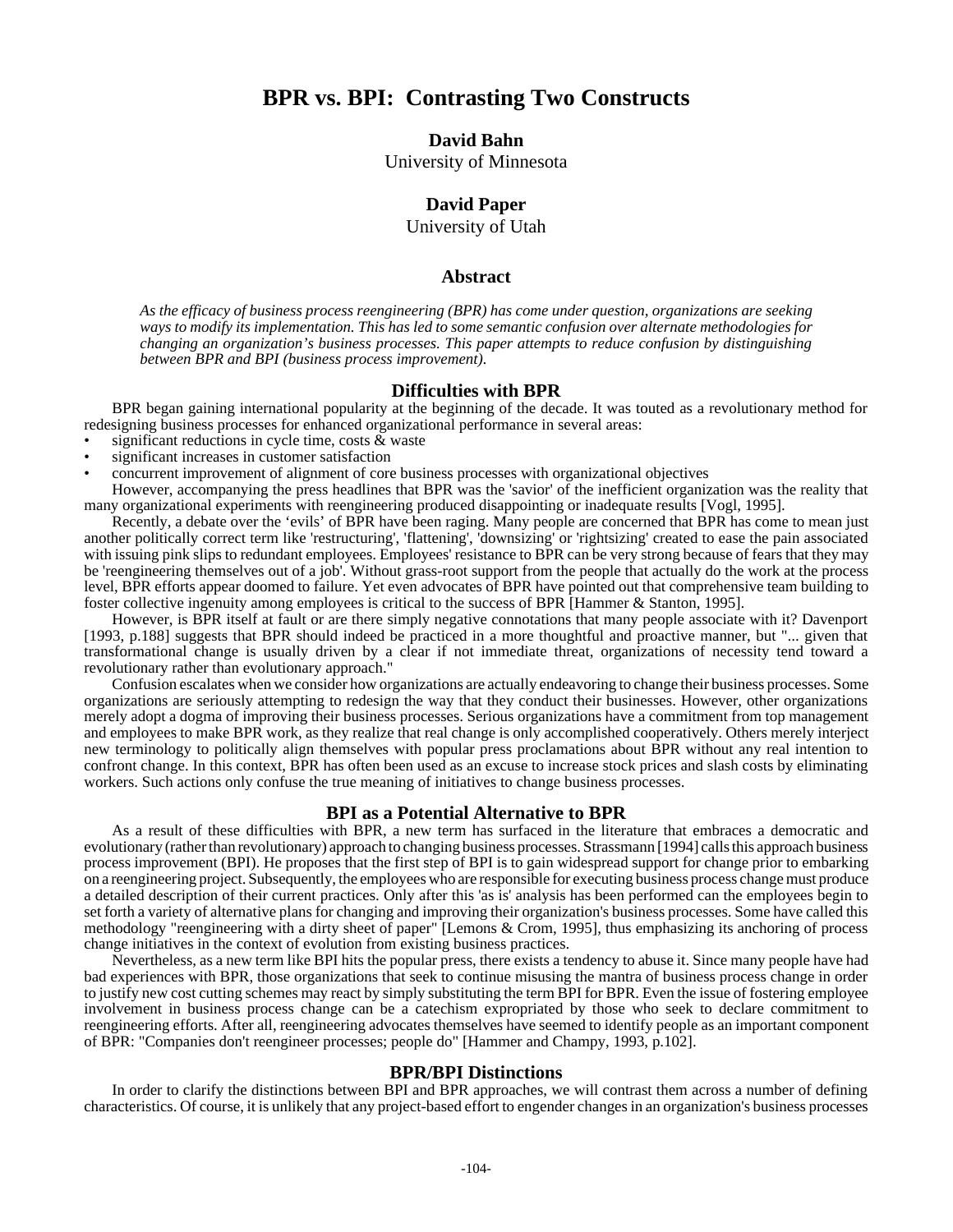# **BPR vs. BPI: Contrasting Two Constructs**

### **David Bahn**

University of Minnesota

# **David Paper**

University of Utah

### **Abstract**

*As the efficacy of business process reengineering (BPR) has come under question, organizations are seeking ways to modify its implementation. This has led to some semantic confusion over alternate methodologies for changing an organization's business processes. This paper attempts to reduce confusion by distinguishing between BPR and BPI (business process improvement).* 

#### **Difficulties with BPR**

BPR began gaining international popularity at the beginning of the decade. It was touted as a revolutionary method for redesigning business processes for enhanced organizational performance in several areas:

- significant reductions in cycle time, costs  $\&$  waste
- significant increases in customer satisfaction
- concurrent improvement of alignment of core business processes with organizational objectives

However, accompanying the press headlines that BPR was the 'savior' of the inefficient organization was the reality that many organizational experiments with reengineering produced disappointing or inadequate results [Vogl, 1995].

Recently, a debate over the 'evils' of BPR have been raging. Many people are concerned that BPR has come to mean just another politically correct term like 'restructuring', 'flattening', 'downsizing' or 'rightsizing' created to ease the pain associated with issuing pink slips to redundant employees. Employees' resistance to BPR can be very strong because of fears that they may be 'reengineering themselves out of a job'. Without grass-root support from the people that actually do the work at the process level, BPR efforts appear doomed to failure. Yet even advocates of BPR have pointed out that comprehensive team building to foster collective ingenuity among employees is critical to the success of BPR [Hammer & Stanton, 1995].

However, is BPR itself at fault or are there simply negative connotations that many people associate with it? Davenport [1993, p.188] suggests that BPR should indeed be practiced in a more thoughtful and proactive manner, but "... given that transformational change is usually driven by a clear if not immediate threat, organizations of necessity tend toward a revolutionary rather than evolutionary approach."

Confusion escalates when we consider how organizations are actually endeavoring to change their business processes. Some organizations are seriously attempting to redesign the way that they conduct their businesses. However, other organizations merely adopt a dogma of improving their business processes. Serious organizations have a commitment from top management and employees to make BPR work, as they realize that real change is only accomplished cooperatively. Others merely interject new terminology to politically align themselves with popular press proclamations about BPR without any real intention to confront change. In this context, BPR has often been used as an excuse to increase stock prices and slash costs by eliminating workers. Such actions only confuse the true meaning of initiatives to change business processes.

## **BPI as a Potential Alternative to BPR**

As a result of these difficulties with BPR, a new term has surfaced in the literature that embraces a democratic and evolutionary (rather than revolutionary) approach to changing business processes. Strassmann [1994] calls this approach business process improvement (BPI). He proposes that the first step of BPI is to gain widespread support for change prior to embarking on a reengineering project. Subsequently, the employees who are responsible for executing business process change must produce a detailed description of their current practices. Only after this 'as is' analysis has been performed can the employees begin to set forth a variety of alternative plans for changing and improving their organization's business processes. Some have called this methodology "reengineering with a dirty sheet of paper" [Lemons & Crom, 1995], thus emphasizing its anchoring of process change initiatives in the context of evolution from existing business practices.

Nevertheless, as a new term like BPI hits the popular press, there exists a tendency to abuse it. Since many people have had bad experiences with BPR, those organizations that seek to continue misusing the mantra of business process change in order to justify new cost cutting schemes may react by simply substituting the term BPI for BPR. Even the issue of fostering employee involvement in business process change can be a catechism expropriated by those who seek to declare commitment to reengineering efforts. After all, reengineering advocates themselves have seemed to identify people as an important component of BPR: "Companies don't reengineer processes; people do" [Hammer and Champy, 1993, p.102].

#### **BPR/BPI Distinctions**

In order to clarify the distinctions between BPI and BPR approaches, we will contrast them across a number of defining characteristics. Of course, it is unlikely that any project-based effort to engender changes in an organization's business processes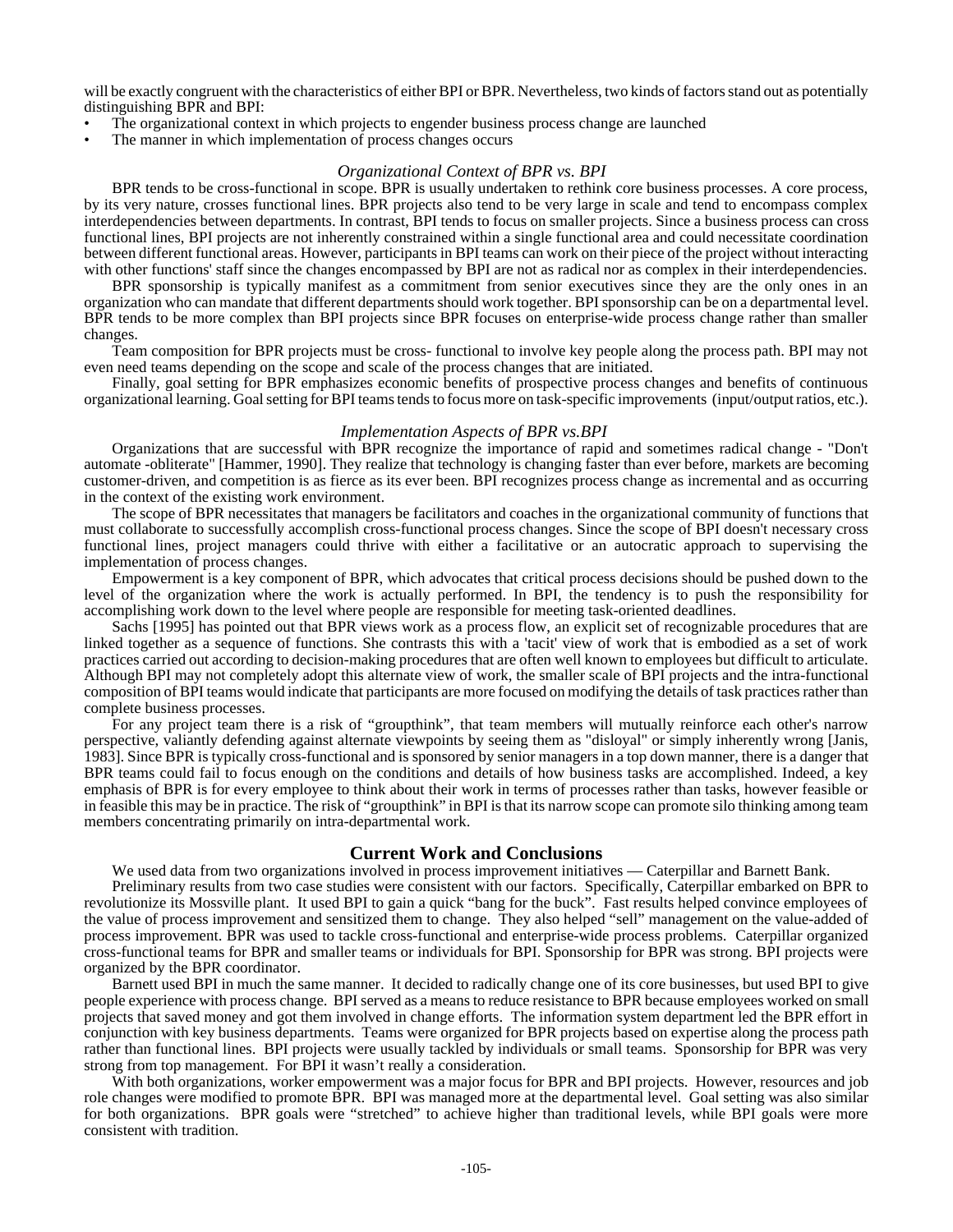will be exactly congruent with the characteristics of either BPI or BPR. Nevertheless, two kinds of factors stand out as potentially distinguishing BPR and BPI:

- The organizational context in which projects to engender business process change are launched
- The manner in which implementation of process changes occurs

#### *Organizational Context of BPR vs. BPI*

BPR tends to be cross-functional in scope. BPR is usually undertaken to rethink core business processes. A core process, by its very nature, crosses functional lines. BPR projects also tend to be very large in scale and tend to encompass complex interdependencies between departments. In contrast, BPI tends to focus on smaller projects. Since a business process can cross functional lines, BPI projects are not inherently constrained within a single functional area and could necessitate coordination between different functional areas. However, participants in BPI teams can work on their piece of the project without interacting with other functions' staff since the changes encompassed by BPI are not as radical nor as complex in their interdependencies.

BPR sponsorship is typically manifest as a commitment from senior executives since they are the only ones in an organization who can mandate that different departments should work together. BPI sponsorship can be on a departmental level. BPR tends to be more complex than BPI projects since BPR focuses on enterprise-wide process change rather than smaller changes.

Team composition for BPR projects must be cross- functional to involve key people along the process path. BPI may not even need teams depending on the scope and scale of the process changes that are initiated.

Finally, goal setting for BPR emphasizes economic benefits of prospective process changes and benefits of continuous organizational learning. Goal setting for BPI teams tends to focus more on task-specific improvements (input/output ratios, etc.).

#### *Implementation Aspects of BPR vs.BPI*

Organizations that are successful with BPR recognize the importance of rapid and sometimes radical change - "Don't automate -obliterate" [Hammer, 1990]. They realize that technology is changing faster than ever before, markets are becoming customer-driven, and competition is as fierce as its ever been. BPI recognizes process change as incremental and as occurring in the context of the existing work environment.

The scope of BPR necessitates that managers be facilitators and coaches in the organizational community of functions that must collaborate to successfully accomplish cross-functional process changes. Since the scope of BPI doesn't necessary cross functional lines, project managers could thrive with either a facilitative or an autocratic approach to supervising the implementation of process changes.

Empowerment is a key component of BPR, which advocates that critical process decisions should be pushed down to the level of the organization where the work is actually performed. In BPI, the tendency is to push the responsibility for accomplishing work down to the level where people are responsible for meeting task-oriented deadlines.

Sachs [1995] has pointed out that BPR views work as a process flow, an explicit set of recognizable procedures that are linked together as a sequence of functions. She contrasts this with a 'tacit' view of work that is embodied as a set of work practices carried out according to decision-making procedures that are often well known to employees but difficult to articulate. Although BPI may not completely adopt this alternate view of work, the smaller scale of BPI projects and the intra-functional composition of BPI teams would indicate that participants are more focused on modifying the details of task practices rather than complete business processes.

For any project team there is a risk of "groupthink", that team members will mutually reinforce each other's narrow perspective, valiantly defending against alternate viewpoints by seeing them as "disloyal" or simply inherently wrong [Janis, 1983]. Since BPR is typically cross-functional and is sponsored by senior managers in a top down manner, there is a danger that BPR teams could fail to focus enough on the conditions and details of how business tasks are accomplished. Indeed, a key emphasis of BPR is for every employee to think about their work in terms of processes rather than tasks, however feasible or in feasible this may be in practice. The risk of "groupthink" in BPI is that its narrow scope can promote silo thinking among team members concentrating primarily on intra-departmental work.

#### **Current Work and Conclusions**

We used data from two organizations involved in process improvement initiatives — Caterpillar and Barnett Bank.

Preliminary results from two case studies were consistent with our factors. Specifically, Caterpillar embarked on BPR to revolutionize its Mossville plant. It used BPI to gain a quick "bang for the buck". Fast results helped convince employees of the value of process improvement and sensitized them to change. They also helped "sell" management on the value-added of process improvement. BPR was used to tackle cross-functional and enterprise-wide process problems. Caterpillar organized cross-functional teams for BPR and smaller teams or individuals for BPI. Sponsorship for BPR was strong. BPI projects were organized by the BPR coordinator.

Barnett used BPI in much the same manner. It decided to radically change one of its core businesses, but used BPI to give people experience with process change. BPI served as a means to reduce resistance to BPR because employees worked on small projects that saved money and got them involved in change efforts. The information system department led the BPR effort in conjunction with key business departments. Teams were organized for BPR projects based on expertise along the process path rather than functional lines. BPI projects were usually tackled by individuals or small teams. Sponsorship for BPR was very strong from top management. For BPI it wasn't really a consideration.

With both organizations, worker empowerment was a major focus for BPR and BPI projects. However, resources and job role changes were modified to promote BPR. BPI was managed more at the departmental level. Goal setting was also similar for both organizations. BPR goals were "stretched" to achieve higher than traditional levels, while BPI goals were more consistent with tradition.